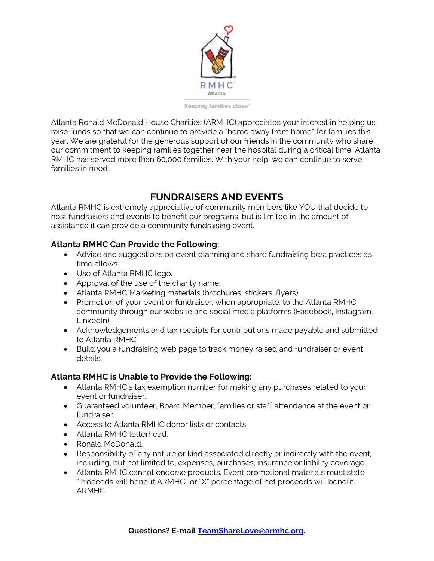

Keeping families close"

Atlanta Ronald McDonald House Charities (ARMHC) appreciates your interest in helping us raise funds so that we can continue to provide a "home away from home" for families this year. We are grateful for the generous support of our friends in the community who share our commitment to keeping families together near the hospital during a critical time. Atlanta RMHC has served more than 60,000 families. With your help, we can continue to serve families in need.

## **FUNDRAISERS AND EVENTS**

Atlanta RMHC is extremely appreciative of community members like YOU that decide to host fundraisers and events to benefit our programs, but is limited in the amount of assistance it can provide a community fundraising event.

### **Atlanta RMHC Can Provide the Following:**

- Advice and suggestions on event planning and share fundraising best practices as time allows.
- Use of Atlanta RMHC logo.
- Approval of the use of the charity name.
- Atlanta RMHC Marketing materials (brochures, stickers, flyers).
- Promotion of your event or fundraiser, when appropriate, to the Atlanta RMHC community through our website and social media platforms (Facebook, Instagram, LinkedIn).
- Acknowledgements and tax receipts for contributions made payable and submitted to Atlanta RMHC.
- Build you a fundraising web page to track money raised and fundraiser or event details

### **Atlanta RMHC is Unable to Provide the Following:**

- Atlanta RMHC's tax exemption number for making any purchases related to your event or fundraiser.
- Guaranteed volunteer, Board Member, families or staff attendance at the event or fundraiser.
- Access to Atlanta RMHC donor lists or contacts.
- Atlanta RMHC letterhead.
- Ronald McDonald.
- Responsibility of any nature or kind associated directly or indirectly with the event, including, but not limited to, expenses, purchases, insurance or liability coverage.
- Atlanta RMHC cannot endorse products. Event promotional materials must state "Proceeds will benefit ARMHC" or "X" percentage of net proceeds will benefit ARMHC."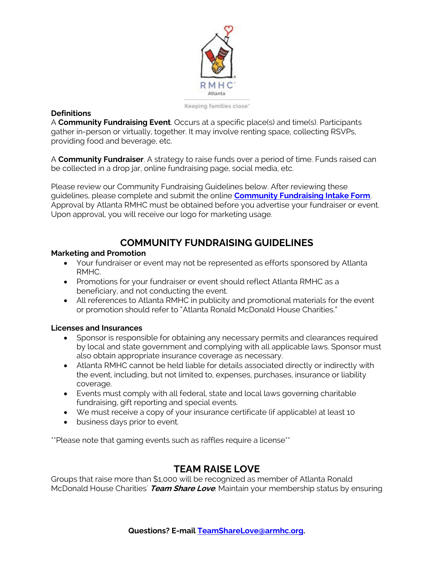

Keeping families close"

#### **Definitions**

A **Community Fundraising Event**. Occurs at a specific place(s) and time(s). Participants gather in-person or virtually, together. It may involve renting space, collecting RSVPs, providing food and beverage, etc.

A **Community Fundraiser**. A strategy to raise funds over a period of time. Funds raised can be collected in a drop jar, online fundraising page, social media, etc.

Please review our Community Fundraising Guidelines below. After reviewing these guidelines, please complete and submit the online **Community Fundraising Intake Form**. Approval by Atlanta RMHC must be obtained before you advertise your fundraiser or event. Upon approval, you will receive our logo for marketing usage.

# **COMMUNITY FUNDRAISING GUIDELINES**

#### **Marketing and Promotion**

- Your fundraiser or event may not be represented as efforts sponsored by Atlanta RMHC.
- Promotions for your fundraiser or event should reflect Atlanta RMHC as a beneficiary, and not conducting the event.
- All references to Atlanta RMHC in publicity and promotional materials for the event or promotion should refer to "Atlanta Ronald McDonald House Charities."

#### **Licenses and Insurances**

- Sponsor is responsible for obtaining any necessary permits and clearances required by local and state government and complying with all applicable laws. Sponsor must also obtain appropriate insurance coverage as necessary.
- Atlanta RMHC cannot be held liable for details associated directly or indirectly with the event, including, but not limited to, expenses, purchases, insurance or liability coverage.
- Events must comply with all federal, state and local laws governing charitable fundraising, gift reporting and special events.
- We must receive a copy of your insurance certificate (if applicable) at least 10
- business days prior to event.

\*\*Please note that gaming events such as raffles require a license\*\*

# **TEAM RAISE LOVE**

Groups that raise more than \$1,000 will be recognized as member of Atlanta Ronald McDonald House Charities' **Team Share Love**. Maintain your membership status by ensuring